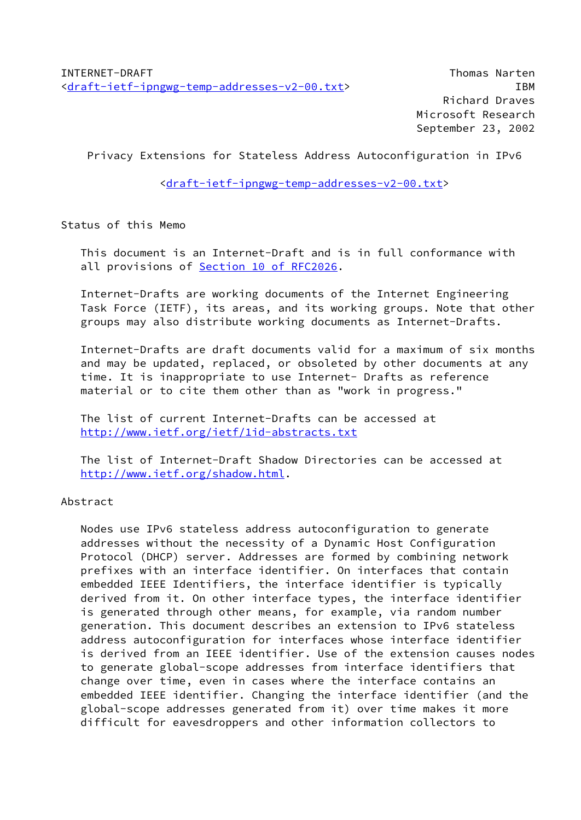Privacy Extensions for Stateless Address Autoconfiguration in IPv6

[<draft-ietf-ipngwg-temp-addresses-v2-00.txt>](https://datatracker.ietf.org/doc/pdf/draft-ietf-ipngwg-temp-addresses-v2-00.txt)

Status of this Memo

 This document is an Internet-Draft and is in full conformance with all provisions of **Section 10 of RFC2026**.

 Internet-Drafts are working documents of the Internet Engineering Task Force (IETF), its areas, and its working groups. Note that other groups may also distribute working documents as Internet-Drafts.

 Internet-Drafts are draft documents valid for a maximum of six months and may be updated, replaced, or obsoleted by other documents at any time. It is inappropriate to use Internet- Drafts as reference material or to cite them other than as "work in progress."

 The list of current Internet-Drafts can be accessed at <http://www.ietf.org/ietf/1id-abstracts.txt>

 The list of Internet-Draft Shadow Directories can be accessed at <http://www.ietf.org/shadow.html>.

Abstract

 Nodes use IPv6 stateless address autoconfiguration to generate addresses without the necessity of a Dynamic Host Configuration Protocol (DHCP) server. Addresses are formed by combining network prefixes with an interface identifier. On interfaces that contain embedded IEEE Identifiers, the interface identifier is typically derived from it. On other interface types, the interface identifier is generated through other means, for example, via random number generation. This document describes an extension to IPv6 stateless address autoconfiguration for interfaces whose interface identifier is derived from an IEEE identifier. Use of the extension causes nodes to generate global-scope addresses from interface identifiers that change over time, even in cases where the interface contains an embedded IEEE identifier. Changing the interface identifier (and the global-scope addresses generated from it) over time makes it more difficult for eavesdroppers and other information collectors to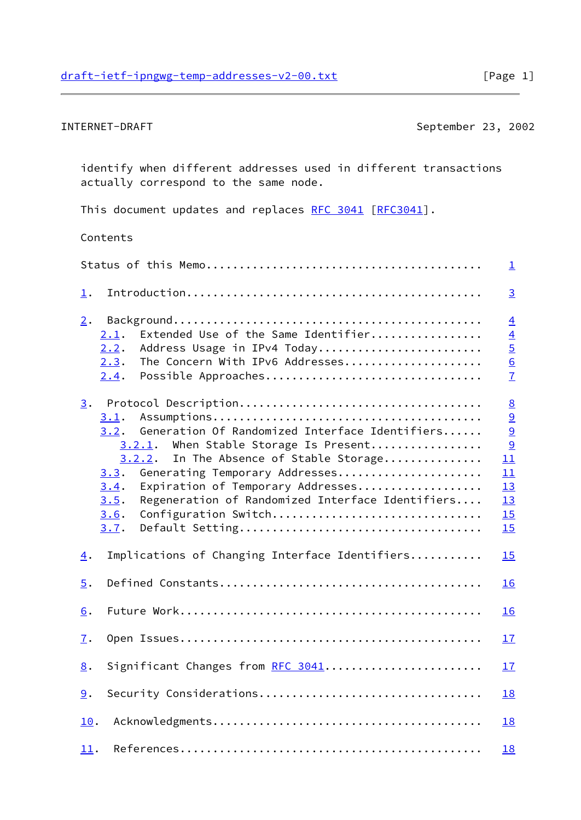INTERNET-DRAFT September 23, 2002

 identify when different addresses used in different transactions actually correspond to the same node.

This document updates and replaces [RFC 3041 \[RFC3041](https://datatracker.ietf.org/doc/pdf/rfc3041)].

# Contents

|                                                                                                                                                                                                                                                                                                                                                           | $\overline{\mathbf{1}}$                                                                                   |
|-----------------------------------------------------------------------------------------------------------------------------------------------------------------------------------------------------------------------------------------------------------------------------------------------------------------------------------------------------------|-----------------------------------------------------------------------------------------------------------|
| $\perp$ .                                                                                                                                                                                                                                                                                                                                                 | $\overline{3}$                                                                                            |
| 2.<br>Extended Use of the Same Identifier<br>2.1.                                                                                                                                                                                                                                                                                                         | $\underline{4}$                                                                                           |
| Address Usage in IPv4 Today<br>2.2.<br>The Concern With IPv6 Addresses<br>2.3.                                                                                                                                                                                                                                                                            |                                                                                                           |
| Possible Approaches<br>2.4.                                                                                                                                                                                                                                                                                                                               | $\frac{4}{5}$ $\frac{6}{7}$                                                                               |
| 3.<br>3.1.<br>Generation Of Randomized Interface Identifiers<br>3.2.<br>When Stable Storage Is Present<br>3.2.1.<br>In The Absence of Stable Storage<br>3.2.2.<br>Generating Temporary Addresses<br>3.3.<br>Expiration of Temporary Addresses<br>3.4.<br>Regeneration of Randomized Interface Identifiers<br>3.5.<br>Configuration Switch<br>3.6.<br>3.7. | $\underline{8}$<br>$\overline{a}$<br>$\overline{9}$<br>$\overline{9}$<br>11<br>11<br>13<br>13<br>15<br>15 |
| Implications of Changing Interface Identifiers<br>$\overline{4}$ .                                                                                                                                                                                                                                                                                        | 15                                                                                                        |
| $\overline{5}$ .                                                                                                                                                                                                                                                                                                                                          | 16                                                                                                        |
| 6.                                                                                                                                                                                                                                                                                                                                                        | 16                                                                                                        |
| $\mathbf{I}$ .                                                                                                                                                                                                                                                                                                                                            | 17                                                                                                        |
| Significant Changes from RFC 3041<br>8.                                                                                                                                                                                                                                                                                                                   | 17                                                                                                        |
| Security Considerations<br>9.                                                                                                                                                                                                                                                                                                                             | 18                                                                                                        |
| 10.                                                                                                                                                                                                                                                                                                                                                       | 18                                                                                                        |
| 11.                                                                                                                                                                                                                                                                                                                                                       | <b>18</b>                                                                                                 |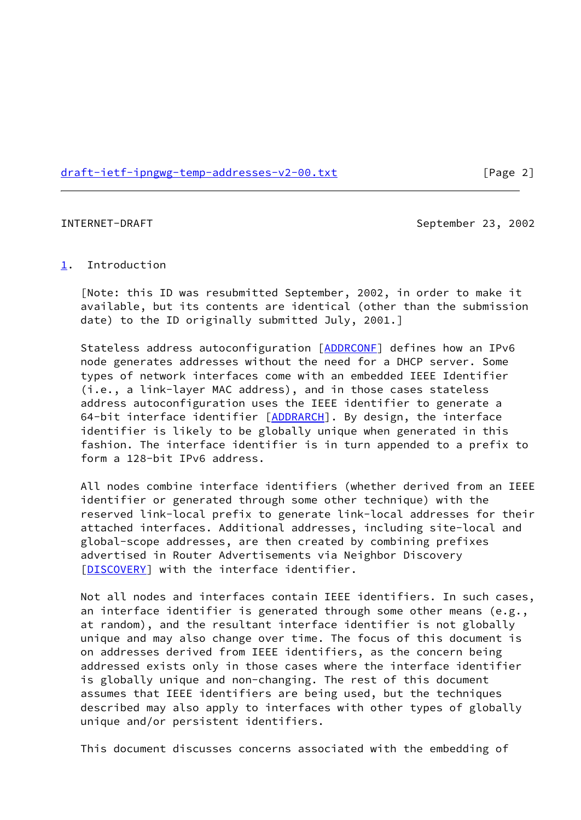[draft-ietf-ipngwg-temp-addresses-v2-00.txt](https://datatracker.ietf.org/doc/pdf/draft-ietf-ipngwg-temp-addresses-v2-00.txt) [Page 2]

<span id="page-2-1"></span>

INTERNET-DRAFT September 23, 2002

### <span id="page-2-0"></span>[1](#page-2-0). Introduction

 [Note: this ID was resubmitted September, 2002, in order to make it available, but its contents are identical (other than the submission date) to the ID originally submitted July, 2001.]

 Stateless address autoconfiguration [\[ADDRCONF](#page-11-3)] defines how an IPv6 node generates addresses without the need for a DHCP server. Some types of network interfaces come with an embedded IEEE Identifier (i.e., a link-layer MAC address), and in those cases stateless address autoconfiguration uses the IEEE identifier to generate a 64-bit interface identifier [\[ADDRARCH](#page-19-4)]. By design, the interface identifier is likely to be globally unique when generated in this fashion. The interface identifier is in turn appended to a prefix to form a 128-bit IPv6 address.

 All nodes combine interface identifiers (whether derived from an IEEE identifier or generated through some other technique) with the reserved link-local prefix to generate link-local addresses for their attached interfaces. Additional addresses, including site-local and global-scope addresses, are then created by combining prefixes advertised in Router Advertisements via Neighbor Discovery [\[DISCOVERY](#page-20-0)] with the interface identifier.

 Not all nodes and interfaces contain IEEE identifiers. In such cases, an interface identifier is generated through some other means (e.g., at random), and the resultant interface identifier is not globally unique and may also change over time. The focus of this document is on addresses derived from IEEE identifiers, as the concern being addressed exists only in those cases where the interface identifier is globally unique and non-changing. The rest of this document assumes that IEEE identifiers are being used, but the techniques described may also apply to interfaces with other types of globally unique and/or persistent identifiers.

This document discusses concerns associated with the embedding of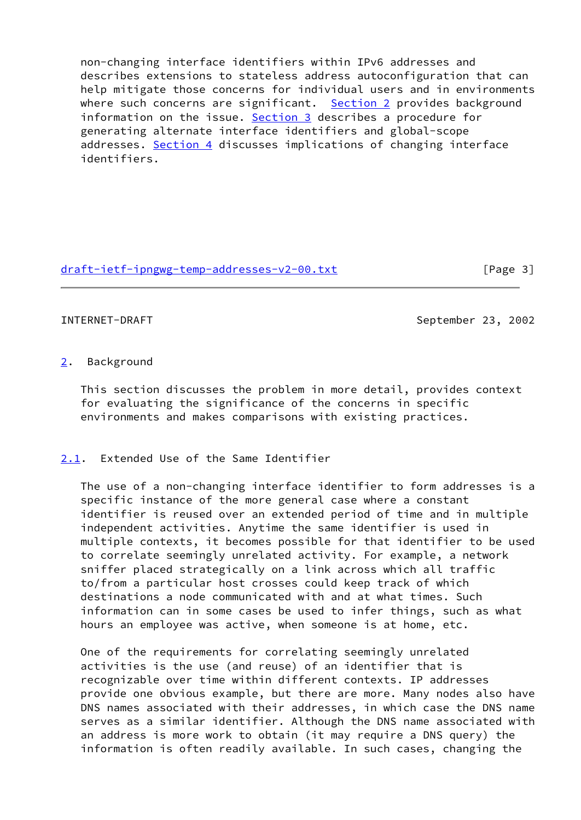non-changing interface identifiers within IPv6 addresses and describes extensions to stateless address autoconfiguration that can help mitigate those concerns for individual users and in environments where such concerns are significant. [Section 2](#page-3-0) provides background information on the issue. [Section 3](#page-8-0) describes a procedure for generating alternate interface identifiers and global-scope addresses. [Section 4](#page-16-1) discusses implications of changing interface identifiers.

[draft-ietf-ipngwg-temp-addresses-v2-00.txt](https://datatracker.ietf.org/doc/pdf/draft-ietf-ipngwg-temp-addresses-v2-00.txt) [Page 3]

<span id="page-3-1"></span>INTERNET-DRAFT September 23, 2002

## <span id="page-3-0"></span>[2](#page-3-0). Background

 This section discusses the problem in more detail, provides context for evaluating the significance of the concerns in specific environments and makes comparisons with existing practices.

## <span id="page-3-2"></span>[2.1](#page-3-2). Extended Use of the Same Identifier

 The use of a non-changing interface identifier to form addresses is a specific instance of the more general case where a constant identifier is reused over an extended period of time and in multiple independent activities. Anytime the same identifier is used in multiple contexts, it becomes possible for that identifier to be used to correlate seemingly unrelated activity. For example, a network sniffer placed strategically on a link across which all traffic to/from a particular host crosses could keep track of which destinations a node communicated with and at what times. Such information can in some cases be used to infer things, such as what hours an employee was active, when someone is at home, etc.

 One of the requirements for correlating seemingly unrelated activities is the use (and reuse) of an identifier that is recognizable over time within different contexts. IP addresses provide one obvious example, but there are more. Many nodes also have DNS names associated with their addresses, in which case the DNS name serves as a similar identifier. Although the DNS name associated with an address is more work to obtain (it may require a DNS query) the information is often readily available. In such cases, changing the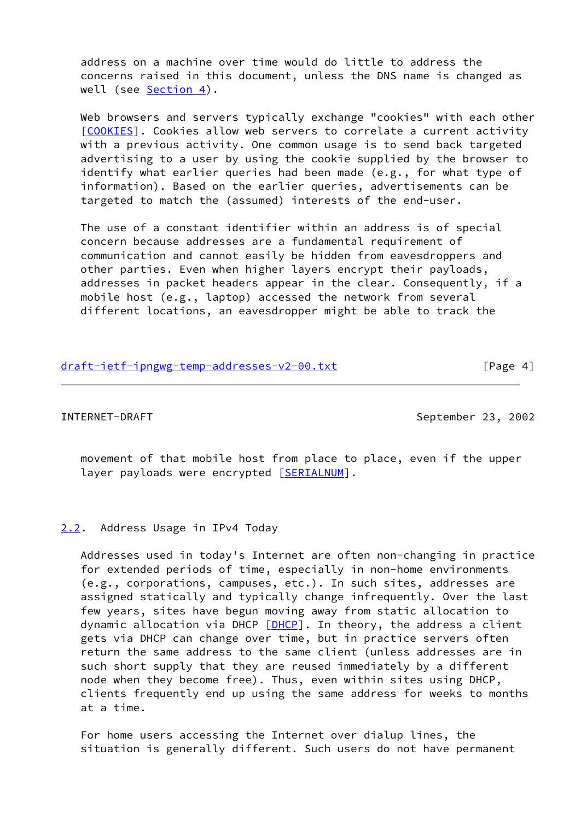address on a machine over time would do little to address the concerns raised in this document, unless the DNS name is changed as well (see [Section 4\)](#page-16-1).

 Web browsers and servers typically exchange "cookies" with each other [\[COOKIES](#page-20-1)]. Cookies allow web servers to correlate a current activity with a previous activity. One common usage is to send back targeted advertising to a user by using the cookie supplied by the browser to identify what earlier queries had been made (e.g., for what type of information). Based on the earlier queries, advertisements can be targeted to match the (assumed) interests of the end-user.

 The use of a constant identifier within an address is of special concern because addresses are a fundamental requirement of communication and cannot easily be hidden from eavesdroppers and other parties. Even when higher layers encrypt their payloads, addresses in packet headers appear in the clear. Consequently, if a mobile host (e.g., laptop) accessed the network from several different locations, an eavesdropper might be able to track the

| draft-ietf-ipngwg-temp-addresses-v2-00.txt | [Page 4] |
|--------------------------------------------|----------|
|                                            |          |

<span id="page-4-1"></span>INTERNET-DRAFT September 23, 2002

 movement of that mobile host from place to place, even if the upper layer payloads were encrypted [[SERIALNUM\]](#page-21-0).

## <span id="page-4-0"></span>[2.2](#page-4-0). Address Usage in IPv4 Today

 Addresses used in today's Internet are often non-changing in practice for extended periods of time, especially in non-home environments (e.g., corporations, campuses, etc.). In such sites, addresses are assigned statically and typically change infrequently. Over the last few years, sites have begun moving away from static allocation to dynamic allocation via DHCP [\[DHCP](#page-20-2)]. In theory, the address a client gets via DHCP can change over time, but in practice servers often return the same address to the same client (unless addresses are in such short supply that they are reused immediately by a different node when they become free). Thus, even within sites using DHCP, clients frequently end up using the same address for weeks to months at a time.

 For home users accessing the Internet over dialup lines, the situation is generally different. Such users do not have permanent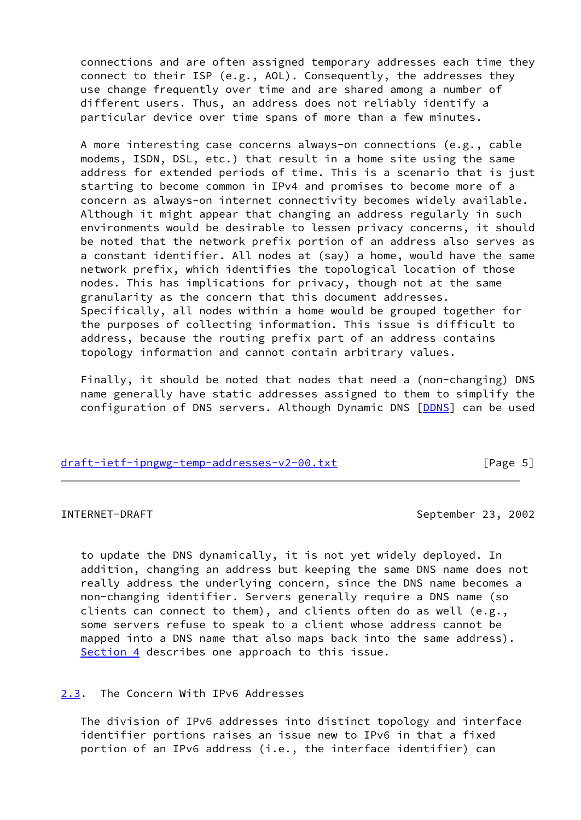connections and are often assigned temporary addresses each time they connect to their ISP (e.g., AOL). Consequently, the addresses they use change frequently over time and are shared among a number of different users. Thus, an address does not reliably identify a particular device over time spans of more than a few minutes.

 A more interesting case concerns always-on connections (e.g., cable modems, ISDN, DSL, etc.) that result in a home site using the same address for extended periods of time. This is a scenario that is just starting to become common in IPv4 and promises to become more of a concern as always-on internet connectivity becomes widely available. Although it might appear that changing an address regularly in such environments would be desirable to lessen privacy concerns, it should be noted that the network prefix portion of an address also serves as a constant identifier. All nodes at (say) a home, would have the same network prefix, which identifies the topological location of those nodes. This has implications for privacy, though not at the same granularity as the concern that this document addresses. Specifically, all nodes within a home would be grouped together for the purposes of collecting information. This issue is difficult to address, because the routing prefix part of an address contains topology information and cannot contain arbitrary values.

 Finally, it should be noted that nodes that need a (non-changing) DNS name generally have static addresses assigned to them to simplify the configuration of DNS servers. Although Dynamic DNS [[DDNS\]](#page-20-3) can be used

## [draft-ietf-ipngwg-temp-addresses-v2-00.txt](https://datatracker.ietf.org/doc/pdf/draft-ietf-ipngwg-temp-addresses-v2-00.txt) [Page 5]

<span id="page-5-1"></span>INTERNET-DRAFT September 23, 2002

 to update the DNS dynamically, it is not yet widely deployed. In addition, changing an address but keeping the same DNS name does not really address the underlying concern, since the DNS name becomes a non-changing identifier. Servers generally require a DNS name (so clients can connect to them), and clients often do as well (e.g., some servers refuse to speak to a client whose address cannot be mapped into a DNS name that also maps back into the same address). [Section 4](#page-16-1) describes one approach to this issue.

## <span id="page-5-0"></span>[2.3](#page-5-0). The Concern With IPv6 Addresses

 The division of IPv6 addresses into distinct topology and interface identifier portions raises an issue new to IPv6 in that a fixed portion of an IPv6 address (i.e., the interface identifier) can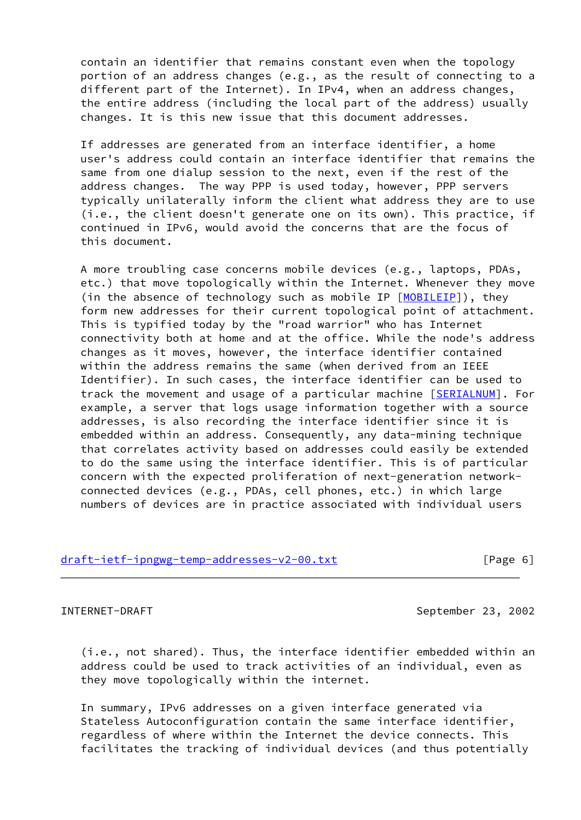contain an identifier that remains constant even when the topology portion of an address changes (e.g., as the result of connecting to a different part of the Internet). In IPv4, when an address changes, the entire address (including the local part of the address) usually changes. It is this new issue that this document addresses.

 If addresses are generated from an interface identifier, a home user's address could contain an interface identifier that remains the same from one dialup session to the next, even if the rest of the address changes. The way PPP is used today, however, PPP servers typically unilaterally inform the client what address they are to use (i.e., the client doesn't generate one on its own). This practice, if continued in IPv6, would avoid the concerns that are the focus of this document.

 A more troubling case concerns mobile devices (e.g., laptops, PDAs, etc.) that move topologically within the Internet. Whenever they move (in the absence of technology such as mobile IP [\[MOBILEIP](#page-20-4)]), they form new addresses for their current topological point of attachment. This is typified today by the "road warrior" who has Internet connectivity both at home and at the office. While the node's address changes as it moves, however, the interface identifier contained within the address remains the same (when derived from an IEEE Identifier). In such cases, the interface identifier can be used to track the movement and usage of a particular machine [\[SERIALNUM\]](#page-21-0). For example, a server that logs usage information together with a source addresses, is also recording the interface identifier since it is embedded within an address. Consequently, any data-mining technique that correlates activity based on addresses could easily be extended to do the same using the interface identifier. This is of particular concern with the expected proliferation of next-generation network connected devices (e.g., PDAs, cell phones, etc.) in which large numbers of devices are in practice associated with individual users

## [draft-ietf-ipngwg-temp-addresses-v2-00.txt](https://datatracker.ietf.org/doc/pdf/draft-ietf-ipngwg-temp-addresses-v2-00.txt) [Page 6]

<span id="page-6-0"></span>INTERNET-DRAFT September 23, 2002

 (i.e., not shared). Thus, the interface identifier embedded within an address could be used to track activities of an individual, even as they move topologically within the internet.

 In summary, IPv6 addresses on a given interface generated via Stateless Autoconfiguration contain the same interface identifier, regardless of where within the Internet the device connects. This facilitates the tracking of individual devices (and thus potentially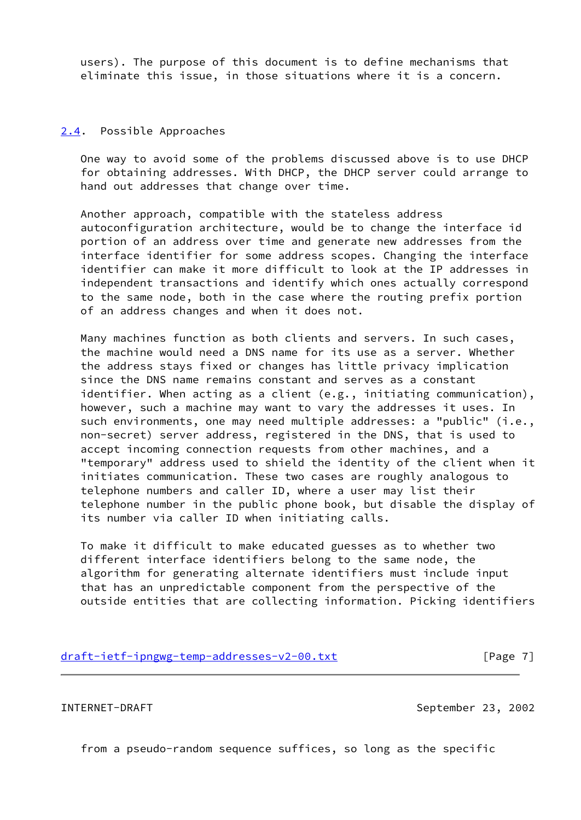users). The purpose of this document is to define mechanisms that eliminate this issue, in those situations where it is a concern.

### <span id="page-7-0"></span>[2.4](#page-7-0). Possible Approaches

 One way to avoid some of the problems discussed above is to use DHCP for obtaining addresses. With DHCP, the DHCP server could arrange to hand out addresses that change over time.

 Another approach, compatible with the stateless address autoconfiguration architecture, would be to change the interface id portion of an address over time and generate new addresses from the interface identifier for some address scopes. Changing the interface identifier can make it more difficult to look at the IP addresses in independent transactions and identify which ones actually correspond to the same node, both in the case where the routing prefix portion of an address changes and when it does not.

 Many machines function as both clients and servers. In such cases, the machine would need a DNS name for its use as a server. Whether the address stays fixed or changes has little privacy implication since the DNS name remains constant and serves as a constant identifier. When acting as a client (e.g., initiating communication), however, such a machine may want to vary the addresses it uses. In such environments, one may need multiple addresses: a "public" (i.e., non-secret) server address, registered in the DNS, that is used to accept incoming connection requests from other machines, and a "temporary" address used to shield the identity of the client when it initiates communication. These two cases are roughly analogous to telephone numbers and caller ID, where a user may list their telephone number in the public phone book, but disable the display of its number via caller ID when initiating calls.

 To make it difficult to make educated guesses as to whether two different interface identifiers belong to the same node, the algorithm for generating alternate identifiers must include input that has an unpredictable component from the perspective of the outside entities that are collecting information. Picking identifiers

|  | draft-ietf-ipngwg-temp-addresses-v2-00.txt |
|--|--------------------------------------------|
|  |                                            |

<span id="page-7-1"></span>INTERNET-DRAFT September 23, 2002

 $[Page 7]$ 

from a pseudo-random sequence suffices, so long as the specific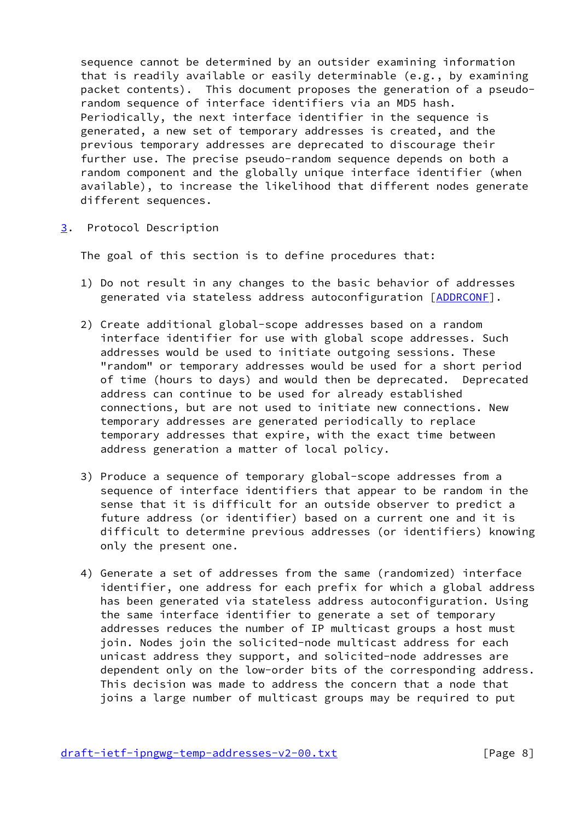sequence cannot be determined by an outsider examining information that is readily available or easily determinable (e.g., by examining packet contents). This document proposes the generation of a pseudo random sequence of interface identifiers via an MD5 hash. Periodically, the next interface identifier in the sequence is generated, a new set of temporary addresses is created, and the previous temporary addresses are deprecated to discourage their further use. The precise pseudo-random sequence depends on both a random component and the globally unique interface identifier (when available), to increase the likelihood that different nodes generate different sequences.

<span id="page-8-0"></span>[3](#page-8-0). Protocol Description

The goal of this section is to define procedures that:

- 1) Do not result in any changes to the basic behavior of addresses generated via stateless address autoconfiguration [\[ADDRCONF](#page-11-3)].
- 2) Create additional global-scope addresses based on a random interface identifier for use with global scope addresses. Such addresses would be used to initiate outgoing sessions. These "random" or temporary addresses would be used for a short period of time (hours to days) and would then be deprecated. Deprecated address can continue to be used for already established connections, but are not used to initiate new connections. New temporary addresses are generated periodically to replace temporary addresses that expire, with the exact time between address generation a matter of local policy.
- 3) Produce a sequence of temporary global-scope addresses from a sequence of interface identifiers that appear to be random in the sense that it is difficult for an outside observer to predict a future address (or identifier) based on a current one and it is difficult to determine previous addresses (or identifiers) knowing only the present one.
- 4) Generate a set of addresses from the same (randomized) interface identifier, one address for each prefix for which a global address has been generated via stateless address autoconfiguration. Using the same interface identifier to generate a set of temporary addresses reduces the number of IP multicast groups a host must join. Nodes join the solicited-node multicast address for each unicast address they support, and solicited-node addresses are dependent only on the low-order bits of the corresponding address. This decision was made to address the concern that a node that joins a large number of multicast groups may be required to put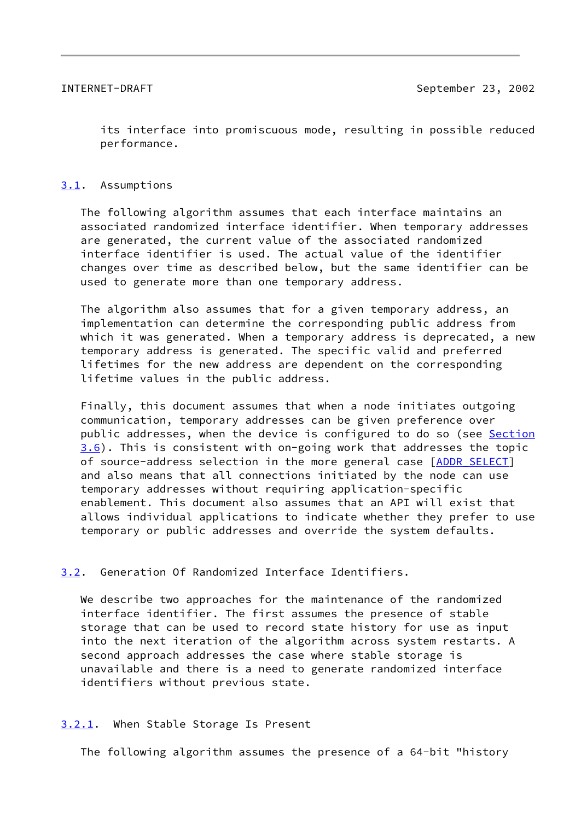<span id="page-9-1"></span> its interface into promiscuous mode, resulting in possible reduced performance.

## <span id="page-9-0"></span>[3.1](#page-9-0). Assumptions

 The following algorithm assumes that each interface maintains an associated randomized interface identifier. When temporary addresses are generated, the current value of the associated randomized interface identifier is used. The actual value of the identifier changes over time as described below, but the same identifier can be used to generate more than one temporary address.

 The algorithm also assumes that for a given temporary address, an implementation can determine the corresponding public address from which it was generated. When a temporary address is deprecated, a new temporary address is generated. The specific valid and preferred lifetimes for the new address are dependent on the corresponding lifetime values in the public address.

 Finally, this document assumes that when a node initiates outgoing communication, temporary addresses can be given preference over public addresses, when the device is configured to do so (see [Section](#page-15-0) [3.6](#page-15-0)). This is consistent with on-going work that addresses the topic of source-address selection in the more general case [\[ADDR\\_SELECT](#page-20-5)] and also means that all connections initiated by the node can use temporary addresses without requiring application-specific enablement. This document also assumes that an API will exist that allows individual applications to indicate whether they prefer to use temporary or public addresses and override the system defaults.

## <span id="page-9-2"></span>[3.2](#page-9-2). Generation Of Randomized Interface Identifiers.

 We describe two approaches for the maintenance of the randomized interface identifier. The first assumes the presence of stable storage that can be used to record state history for use as input into the next iteration of the algorithm across system restarts. A second approach addresses the case where stable storage is unavailable and there is a need to generate randomized interface identifiers without previous state.

## <span id="page-9-3"></span>[3.2.1](#page-9-3). When Stable Storage Is Present

The following algorithm assumes the presence of a 64-bit "history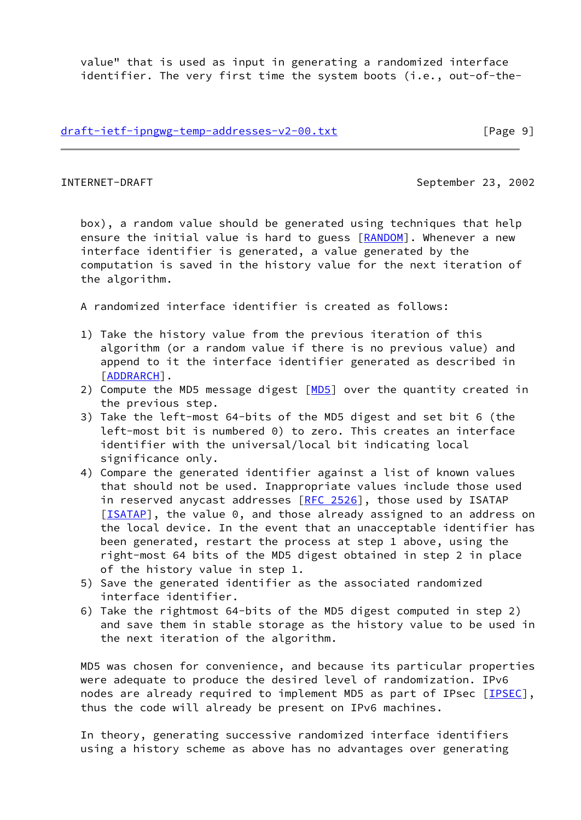value" that is used as input in generating a randomized interface identifier. The very first time the system boots (i.e., out-of-the-

[draft-ietf-ipngwg-temp-addresses-v2-00.txt](https://datatracker.ietf.org/doc/pdf/draft-ietf-ipngwg-temp-addresses-v2-00.txt) [Page 9]

INTERNET-DRAFT September 23, 2002

 box), a random value should be generated using techniques that help ensure the initial value is hard to guess [[RANDOM](#page-20-6)]. Whenever a new interface identifier is generated, a value generated by the computation is saved in the history value for the next iteration of the algorithm.

A randomized interface identifier is created as follows:

- 1) Take the history value from the previous iteration of this algorithm (or a random value if there is no previous value) and append to it the interface identifier generated as described in [[ADDRARCH\]](#page-19-4).
- 2) Compute the [MD5](#page-20-7) message digest  $[MD5]$  over the quantity created in the previous step.
- 3) Take the left-most 64-bits of the MD5 digest and set bit 6 (the left-most bit is numbered 0) to zero. This creates an interface identifier with the universal/local bit indicating local significance only.
- 4) Compare the generated identifier against a list of known values that should not be used. Inappropriate values include those used in reserved anycast addresses  $[RFC 2526]$  $[RFC 2526]$ , those used by ISATAP [[ISATAP](#page-20-8)], the value 0, and those already assigned to an address on the local device. In the event that an unacceptable identifier has been generated, restart the process at step 1 above, using the right-most 64 bits of the MD5 digest obtained in step 2 in place of the history value in step 1.
- 5) Save the generated identifier as the associated randomized interface identifier.
- 6) Take the rightmost 64-bits of the MD5 digest computed in step 2) and save them in stable storage as the history value to be used in the next iteration of the algorithm.

 MD5 was chosen for convenience, and because its particular properties were adequate to produce the desired level of randomization. IPv6 nodes are already required to implement MD5 as part of IPsec [\[IPSEC\]](#page-20-9), thus the code will already be present on IPv6 machines.

 In theory, generating successive randomized interface identifiers using a history scheme as above has no advantages over generating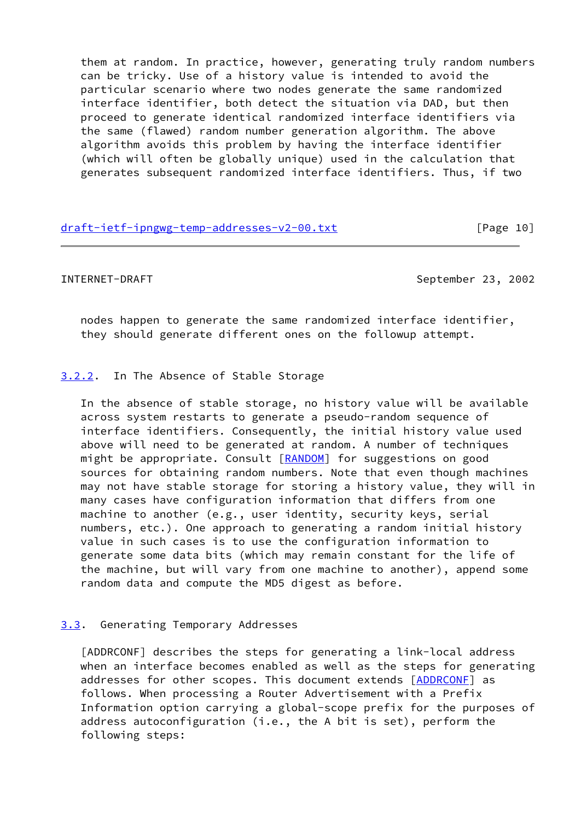them at random. In practice, however, generating truly random numbers can be tricky. Use of a history value is intended to avoid the particular scenario where two nodes generate the same randomized interface identifier, both detect the situation via DAD, but then proceed to generate identical randomized interface identifiers via the same (flawed) random number generation algorithm. The above algorithm avoids this problem by having the interface identifier (which will often be globally unique) used in the calculation that generates subsequent randomized interface identifiers. Thus, if two

| draft-ietf-ipngwg-temp-addresses-v2-00.txt | [Page 10] |
|--------------------------------------------|-----------|
|                                            |           |

<span id="page-11-1"></span>INTERNET-DRAFT September 23, 2002

 nodes happen to generate the same randomized interface identifier, they should generate different ones on the followup attempt.

## <span id="page-11-0"></span>[3.2.2](#page-11-0). In The Absence of Stable Storage

 In the absence of stable storage, no history value will be available across system restarts to generate a pseudo-random sequence of interface identifiers. Consequently, the initial history value used above will need to be generated at random. A number of techniques might be appropriate. Consult [[RANDOM](#page-20-6)] for suggestions on good sources for obtaining random numbers. Note that even though machines may not have stable storage for storing a history value, they will in many cases have configuration information that differs from one machine to another (e.g., user identity, security keys, serial numbers, etc.). One approach to generating a random initial history value in such cases is to use the configuration information to generate some data bits (which may remain constant for the life of the machine, but will vary from one machine to another), append some random data and compute the MD5 digest as before.

## <span id="page-11-2"></span>[3.3](#page-11-2). Generating Temporary Addresses

<span id="page-11-3"></span> [ADDRCONF] describes the steps for generating a link-local address when an interface becomes enabled as well as the steps for generating addresses for other scopes. This document extends [[ADDRCONF\]](#page-11-3) as follows. When processing a Router Advertisement with a Prefix Information option carrying a global-scope prefix for the purposes of address autoconfiguration (i.e., the A bit is set), perform the following steps: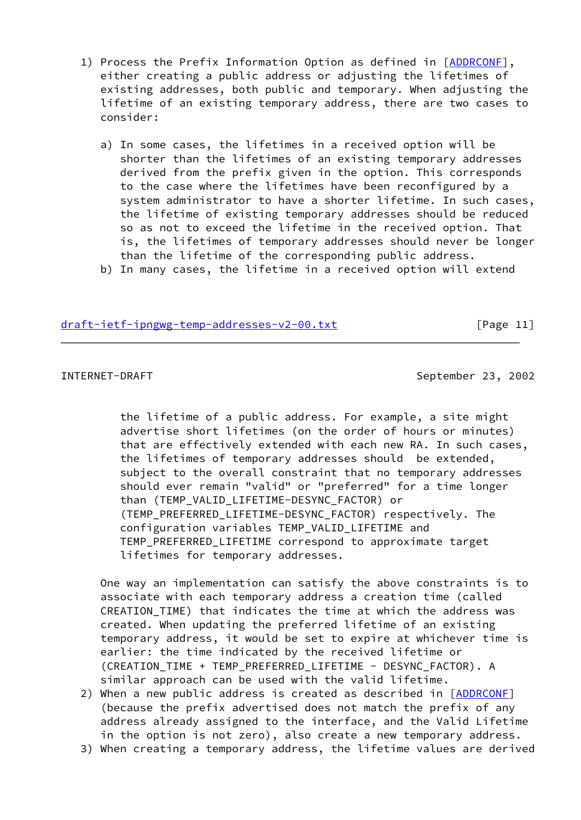- 1) Process the Prefix Information Option as defined in [\[ADDRCONF](#page-11-3)], either creating a public address or adjusting the lifetimes of existing addresses, both public and temporary. When adjusting the lifetime of an existing temporary address, there are two cases to consider:
	- a) In some cases, the lifetimes in a received option will be shorter than the lifetimes of an existing temporary addresses derived from the prefix given in the option. This corresponds to the case where the lifetimes have been reconfigured by a system administrator to have a shorter lifetime. In such cases, the lifetime of existing temporary addresses should be reduced so as not to exceed the lifetime in the received option. That is, the lifetimes of temporary addresses should never be longer than the lifetime of the corresponding public address.
	- b) In many cases, the lifetime in a received option will extend

## [draft-ietf-ipngwg-temp-addresses-v2-00.txt](https://datatracker.ietf.org/doc/pdf/draft-ietf-ipngwg-temp-addresses-v2-00.txt) [Page 11]

INTERNET-DRAFT September 23, 2002

 the lifetime of a public address. For example, a site might advertise short lifetimes (on the order of hours or minutes) that are effectively extended with each new RA. In such cases, the lifetimes of temporary addresses should be extended, subject to the overall constraint that no temporary addresses should ever remain "valid" or "preferred" for a time longer than (TEMP\_VALID\_LIFETIME-DESYNC\_FACTOR) or (TEMP\_PREFERRED\_LIFETIME-DESYNC\_FACTOR) respectively. The configuration variables TEMP\_VALID\_LIFETIME and TEMP\_PREFERRED\_LIFETIME correspond to approximate target lifetimes for temporary addresses.

 One way an implementation can satisfy the above constraints is to associate with each temporary address a creation time (called CREATION\_TIME) that indicates the time at which the address was created. When updating the preferred lifetime of an existing temporary address, it would be set to expire at whichever time is earlier: the time indicated by the received lifetime or (CREATION\_TIME + TEMP\_PREFERRED\_LIFETIME - DESYNC\_FACTOR). A similar approach can be used with the valid lifetime.

- 2) When a new public address is created as described in [\[ADDRCONF](#page-11-3)] (because the prefix advertised does not match the prefix of any address already assigned to the interface, and the Valid Lifetime in the option is not zero), also create a new temporary address.
- 3) When creating a temporary address, the lifetime values are derived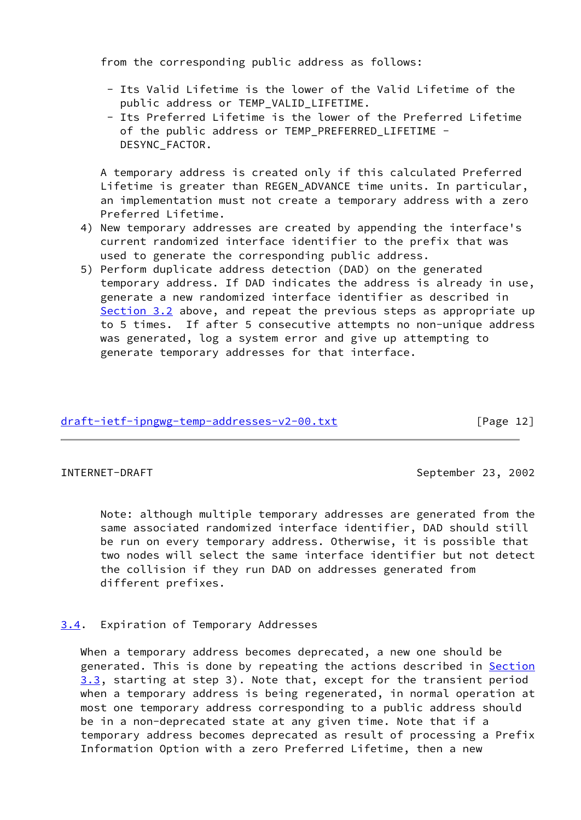from the corresponding public address as follows:

- Its Valid Lifetime is the lower of the Valid Lifetime of the public address or TEMP\_VALID\_LIFETIME.
- Its Preferred Lifetime is the lower of the Preferred Lifetime of the public address or TEMP\_PREFERRED LIFETIME -DESYNC\_FACTOR.

 A temporary address is created only if this calculated Preferred Lifetime is greater than REGEN ADVANCE time units. In particular, an implementation must not create a temporary address with a zero Preferred Lifetime.

- 4) New temporary addresses are created by appending the interface's current randomized interface identifier to the prefix that was used to generate the corresponding public address.
- 5) Perform duplicate address detection (DAD) on the generated temporary address. If DAD indicates the address is already in use, generate a new randomized interface identifier as described in [Section 3.2](#page-9-2) above, and repeat the previous steps as appropriate up to 5 times. If after 5 consecutive attempts no non-unique address was generated, log a system error and give up attempting to generate temporary addresses for that interface.

## [draft-ietf-ipngwg-temp-addresses-v2-00.txt](https://datatracker.ietf.org/doc/pdf/draft-ietf-ipngwg-temp-addresses-v2-00.txt) [Page 12]

<span id="page-13-1"></span>INTERNET-DRAFT September 23, 2002

 Note: although multiple temporary addresses are generated from the same associated randomized interface identifier, DAD should still be run on every temporary address. Otherwise, it is possible that two nodes will select the same interface identifier but not detect the collision if they run DAD on addresses generated from different prefixes.

## <span id="page-13-0"></span>[3.4](#page-13-0). Expiration of Temporary Addresses

 When a temporary address becomes deprecated, a new one should be generated. This is done by repeating the actions described in [Section](#page-11-2) [3.3](#page-11-2), starting at step 3). Note that, except for the transient period when a temporary address is being regenerated, in normal operation at most one temporary address corresponding to a public address should be in a non-deprecated state at any given time. Note that if a temporary address becomes deprecated as result of processing a Prefix Information Option with a zero Preferred Lifetime, then a new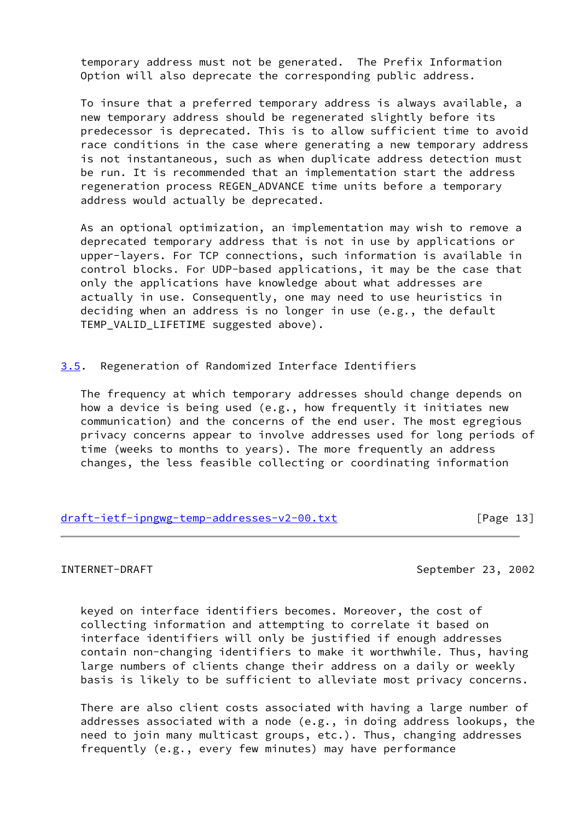temporary address must not be generated. The Prefix Information Option will also deprecate the corresponding public address.

 To insure that a preferred temporary address is always available, a new temporary address should be regenerated slightly before its predecessor is deprecated. This is to allow sufficient time to avoid race conditions in the case where generating a new temporary address is not instantaneous, such as when duplicate address detection must be run. It is recommended that an implementation start the address regeneration process REGEN\_ADVANCE time units before a temporary address would actually be deprecated.

 As an optional optimization, an implementation may wish to remove a deprecated temporary address that is not in use by applications or upper-layers. For TCP connections, such information is available in control blocks. For UDP-based applications, it may be the case that only the applications have knowledge about what addresses are actually in use. Consequently, one may need to use heuristics in deciding when an address is no longer in use (e.g., the default TEMP\_VALID\_LIFETIME suggested above).

<span id="page-14-0"></span>[3.5](#page-14-0). Regeneration of Randomized Interface Identifiers

 The frequency at which temporary addresses should change depends on how a device is being used (e.g., how frequently it initiates new communication) and the concerns of the end user. The most egregious privacy concerns appear to involve addresses used for long periods of time (weeks to months to years). The more frequently an address changes, the less feasible collecting or coordinating information

[draft-ietf-ipngwg-temp-addresses-v2-00.txt](https://datatracker.ietf.org/doc/pdf/draft-ietf-ipngwg-temp-addresses-v2-00.txt) [Page 13]

INTERNET-DRAFT September 23, 2002

 keyed on interface identifiers becomes. Moreover, the cost of collecting information and attempting to correlate it based on interface identifiers will only be justified if enough addresses contain non-changing identifiers to make it worthwhile. Thus, having large numbers of clients change their address on a daily or weekly basis is likely to be sufficient to alleviate most privacy concerns.

 There are also client costs associated with having a large number of addresses associated with a node (e.g., in doing address lookups, the need to join many multicast groups, etc.). Thus, changing addresses frequently (e.g., every few minutes) may have performance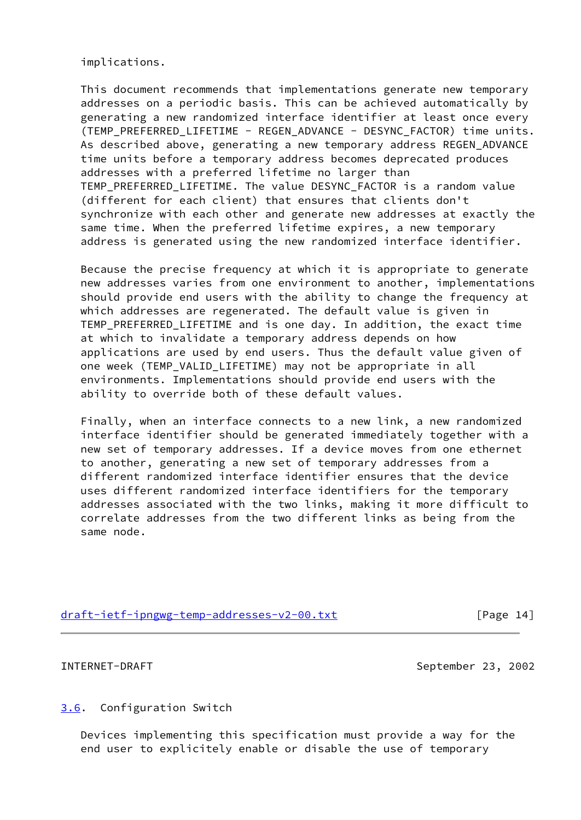implications.

 This document recommends that implementations generate new temporary addresses on a periodic basis. This can be achieved automatically by generating a new randomized interface identifier at least once every (TEMP\_PREFERRED\_LIFETIME - REGEN\_ADVANCE - DESYNC\_FACTOR) time units. As described above, generating a new temporary address REGEN\_ADVANCE time units before a temporary address becomes deprecated produces addresses with a preferred lifetime no larger than TEMP\_PREFERRED\_LIFETIME. The value DESYNC\_FACTOR is a random value (different for each client) that ensures that clients don't synchronize with each other and generate new addresses at exactly the same time. When the preferred lifetime expires, a new temporary address is generated using the new randomized interface identifier.

 Because the precise frequency at which it is appropriate to generate new addresses varies from one environment to another, implementations should provide end users with the ability to change the frequency at which addresses are regenerated. The default value is given in TEMP PREFERRED LIFETIME and is one day. In addition, the exact time at which to invalidate a temporary address depends on how applications are used by end users. Thus the default value given of one week (TEMP\_VALID\_LIFETIME) may not be appropriate in all environments. Implementations should provide end users with the ability to override both of these default values.

 Finally, when an interface connects to a new link, a new randomized interface identifier should be generated immediately together with a new set of temporary addresses. If a device moves from one ethernet to another, generating a new set of temporary addresses from a different randomized interface identifier ensures that the device uses different randomized interface identifiers for the temporary addresses associated with the two links, making it more difficult to correlate addresses from the two different links as being from the same node.

# [draft-ietf-ipngwg-temp-addresses-v2-00.txt](https://datatracker.ietf.org/doc/pdf/draft-ietf-ipngwg-temp-addresses-v2-00.txt) [Page 14]

<span id="page-15-1"></span>

INTERNET-DRAFT September 23, 2002

## <span id="page-15-0"></span>[3.6](#page-15-0). Configuration Switch

 Devices implementing this specification must provide a way for the end user to explicitely enable or disable the use of temporary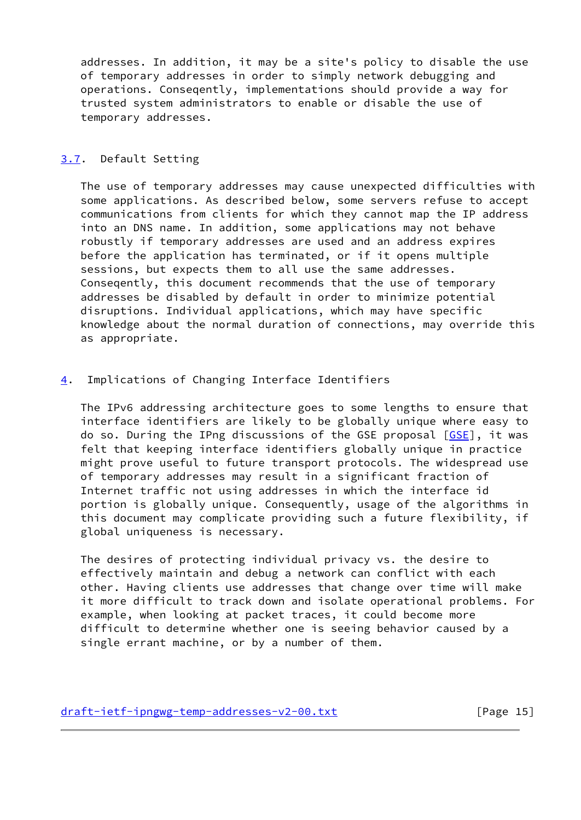addresses. In addition, it may be a site's policy to disable the use of temporary addresses in order to simply network debugging and operations. Conseqently, implementations should provide a way for trusted system administrators to enable or disable the use of temporary addresses.

## <span id="page-16-0"></span>[3.7](#page-16-0). Default Setting

 The use of temporary addresses may cause unexpected difficulties with some applications. As described below, some servers refuse to accept communications from clients for which they cannot map the IP address into an DNS name. In addition, some applications may not behave robustly if temporary addresses are used and an address expires before the application has terminated, or if it opens multiple sessions, but expects them to all use the same addresses. Conseqently, this document recommends that the use of temporary addresses be disabled by default in order to minimize potential disruptions. Individual applications, which may have specific knowledge about the normal duration of connections, may override this as appropriate.

## <span id="page-16-1"></span>[4](#page-16-1). Implications of Changing Interface Identifiers

 The IPv6 addressing architecture goes to some lengths to ensure that interface identifiers are likely to be globally unique where easy to do so. During the IPng discussions of the GSE proposal [\[GSE](#page-20-10)], it was felt that keeping interface identifiers globally unique in practice might prove useful to future transport protocols. The widespread use of temporary addresses may result in a significant fraction of Internet traffic not using addresses in which the interface id portion is globally unique. Consequently, usage of the algorithms in this document may complicate providing such a future flexibility, if global uniqueness is necessary.

 The desires of protecting individual privacy vs. the desire to effectively maintain and debug a network can conflict with each other. Having clients use addresses that change over time will make it more difficult to track down and isolate operational problems. For example, when looking at packet traces, it could become more difficult to determine whether one is seeing behavior caused by a single errant machine, or by a number of them.

[draft-ietf-ipngwg-temp-addresses-v2-00.txt](https://datatracker.ietf.org/doc/pdf/draft-ietf-ipngwg-temp-addresses-v2-00.txt) [Page 15]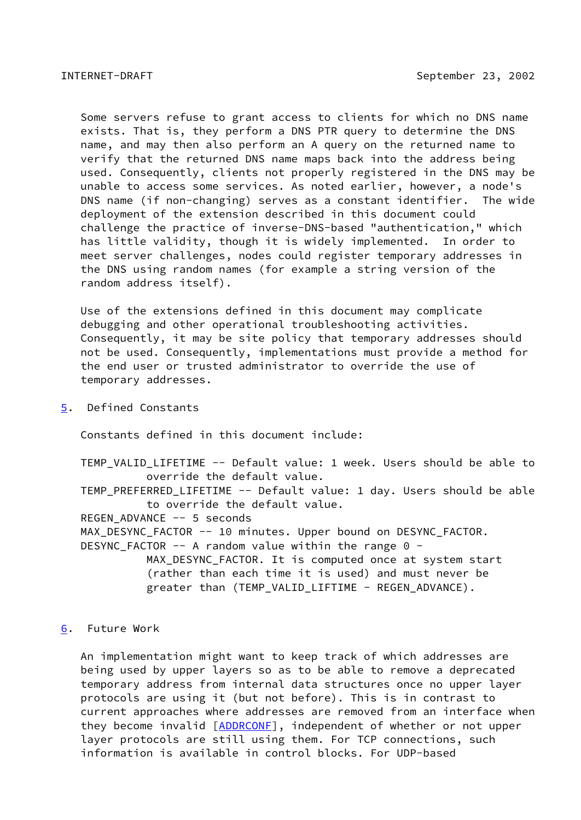<span id="page-17-1"></span> Some servers refuse to grant access to clients for which no DNS name exists. That is, they perform a DNS PTR query to determine the DNS name, and may then also perform an A query on the returned name to verify that the returned DNS name maps back into the address being used. Consequently, clients not properly registered in the DNS may be unable to access some services. As noted earlier, however, a node's DNS name (if non-changing) serves as a constant identifier. The wide deployment of the extension described in this document could challenge the practice of inverse-DNS-based "authentication," which has little validity, though it is widely implemented. In order to meet server challenges, nodes could register temporary addresses in the DNS using random names (for example a string version of the random address itself).

 Use of the extensions defined in this document may complicate debugging and other operational troubleshooting activities. Consequently, it may be site policy that temporary addresses should not be used. Consequently, implementations must provide a method for the end user or trusted administrator to override the use of temporary addresses.

<span id="page-17-0"></span>[5](#page-17-0). Defined Constants

Constants defined in this document include:

 TEMP\_VALID\_LIFETIME -- Default value: 1 week. Users should be able to override the default value. TEMP PREFERRED LIFETIME -- Default value: 1 day. Users should be able to override the default value. REGEN\_ADVANCE -- 5 seconds MAX DESYNC FACTOR -- 10 minutes. Upper bound on DESYNC FACTOR. DESYNC FACTOR  $-$ - A random value within the range 0 -MAX DESYNC FACTOR. It is computed once at system start (rather than each time it is used) and must never be

greater than (TEMP\_VALID\_LIFTIME - REGEN\_ADVANCE).

- 
- <span id="page-17-2"></span>[6](#page-17-2). Future Work

 An implementation might want to keep track of which addresses are being used by upper layers so as to be able to remove a deprecated temporary address from internal data structures once no upper layer protocols are using it (but not before). This is in contrast to current approaches where addresses are removed from an interface when they become invalid [\[ADDRCONF](#page-11-3)], independent of whether or not upper layer protocols are still using them. For TCP connections, such information is available in control blocks. For UDP-based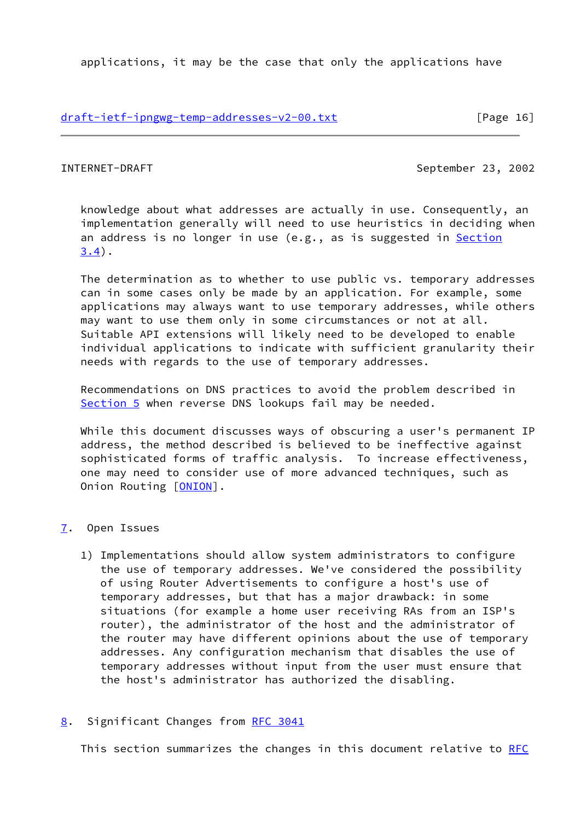applications, it may be the case that only the applications have

## [draft-ietf-ipngwg-temp-addresses-v2-00.txt](https://datatracker.ietf.org/doc/pdf/draft-ietf-ipngwg-temp-addresses-v2-00.txt) [Page 16]

<span id="page-18-1"></span>INTERNET-DRAFT September 23, 2002

 knowledge about what addresses are actually in use. Consequently, an implementation generally will need to use heuristics in deciding when an address is no longer in use (e.g., as is suggested in [Section](#page-13-0) [3.4](#page-13-0)).

 The determination as to whether to use public vs. temporary addresses can in some cases only be made by an application. For example, some applications may always want to use temporary addresses, while others may want to use them only in some circumstances or not at all. Suitable API extensions will likely need to be developed to enable individual applications to indicate with sufficient granularity their needs with regards to the use of temporary addresses.

 Recommendations on DNS practices to avoid the problem described in [Section 5](#page-17-0) when reverse DNS lookups fail may be needed.

 While this document discusses ways of obscuring a user's permanent IP address, the method described is believed to be ineffective against sophisticated forms of traffic analysis. To increase effectiveness, one may need to consider use of more advanced techniques, such as Onion Routing [[ONION\]](#page-20-11).

## <span id="page-18-0"></span>[7](#page-18-0). Open Issues

- 1) Implementations should allow system administrators to configure the use of temporary addresses. We've considered the possibility of using Router Advertisements to configure a host's use of temporary addresses, but that has a major drawback: in some situations (for example a home user receiving RAs from an ISP's router), the administrator of the host and the administrator of the router may have different opinions about the use of temporary addresses. Any configuration mechanism that disables the use of temporary addresses without input from the user must ensure that the host's administrator has authorized the disabling.
- <span id="page-18-2"></span>[8](#page-18-2). Significant Changes from [RFC 3041](https://datatracker.ietf.org/doc/pdf/rfc3041)

This section summarizes the changes in this document relative to [RFC](https://datatracker.ietf.org/doc/pdf/rfc3041)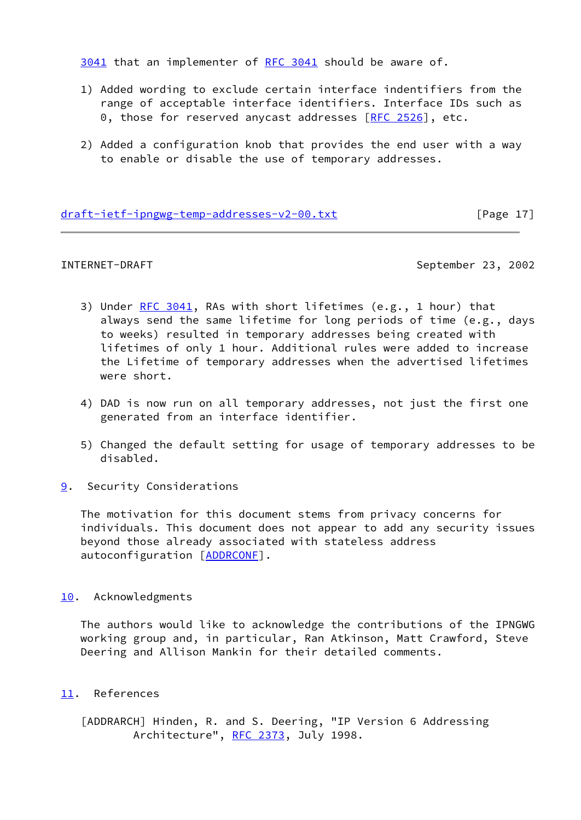[3041](https://datatracker.ietf.org/doc/pdf/rfc3041) that an implementer of [RFC 3041](https://datatracker.ietf.org/doc/pdf/rfc3041) should be aware of.

- 1) Added wording to exclude certain interface indentifiers from the range of acceptable interface identifiers. Interface IDs such as 0, those for reserved anycast addresses  $[RFC 2526]$  $[RFC 2526]$ , etc.
- 2) Added a configuration knob that provides the end user with a way to enable or disable the use of temporary addresses.

## [draft-ietf-ipngwg-temp-addresses-v2-00.txt](https://datatracker.ietf.org/doc/pdf/draft-ietf-ipngwg-temp-addresses-v2-00.txt) [Page 17]

<span id="page-19-1"></span>INTERNET-DRAFT September 23, 2002

- 3) Under [RFC 3041](https://datatracker.ietf.org/doc/pdf/rfc3041), RAs with short lifetimes (e.g., 1 hour) that always send the same lifetime for long periods of time (e.g., days to weeks) resulted in temporary addresses being created with lifetimes of only 1 hour. Additional rules were added to increase the Lifetime of temporary addresses when the advertised lifetimes were short.
- 4) DAD is now run on all temporary addresses, not just the first one generated from an interface identifier.
- 5) Changed the default setting for usage of temporary addresses to be disabled.
- <span id="page-19-0"></span>[9](#page-19-0). Security Considerations

 The motivation for this document stems from privacy concerns for individuals. This document does not appear to add any security issues beyond those already associated with stateless address autoconfiguration [[ADDRCONF\]](#page-11-3).

## <span id="page-19-2"></span>[10.](#page-19-2) Acknowledgments

 The authors would like to acknowledge the contributions of the IPNGWG working group and, in particular, Ran Atkinson, Matt Crawford, Steve Deering and Allison Mankin for their detailed comments.

## <span id="page-19-3"></span>[11.](#page-19-3) References

<span id="page-19-4"></span> [ADDRARCH] Hinden, R. and S. Deering, "IP Version 6 Addressing Architecture", [RFC 2373,](https://datatracker.ietf.org/doc/pdf/rfc2373) July 1998.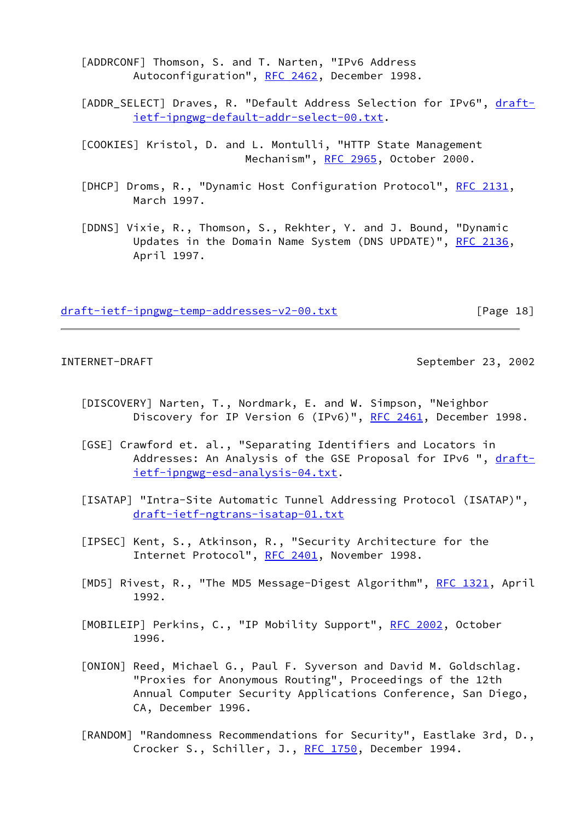[ADDRCONF] Thomson, S. and T. Narten, "IPv6 Address Autoconfiguration", [RFC 2462,](https://datatracker.ietf.org/doc/pdf/rfc2462) December 1998.

<span id="page-20-5"></span>[ADDR\_SELECT] Draves, R. "Default Address Selection for IPv6", [draft](https://datatracker.ietf.org/doc/pdf/draft-ietf-ipngwg-default-addr-select-00.txt) [ietf-ipngwg-default-addr-select-00.txt](https://datatracker.ietf.org/doc/pdf/draft-ietf-ipngwg-default-addr-select-00.txt).

<span id="page-20-1"></span> [COOKIES] Kristol, D. and L. Montulli, "HTTP State Management Mechanism", [RFC 2965](https://datatracker.ietf.org/doc/pdf/rfc2965), October 2000.

<span id="page-20-2"></span>[DHCP] Droms, R., "Dynamic Host Configuration Protocol", [RFC 2131](https://datatracker.ietf.org/doc/pdf/rfc2131), March 1997.

<span id="page-20-3"></span> [DDNS] Vixie, R., Thomson, S., Rekhter, Y. and J. Bound, "Dynamic Updates in the Domain Name System (DNS UPDATE)", [RFC 2136](https://datatracker.ietf.org/doc/pdf/rfc2136), April 1997.

[draft-ietf-ipngwg-temp-addresses-v2-00.txt](https://datatracker.ietf.org/doc/pdf/draft-ietf-ipngwg-temp-addresses-v2-00.txt) [Page 18]

INTERNET-DRAFT September 23, 2002

- <span id="page-20-0"></span> [DISCOVERY] Narten, T., Nordmark, E. and W. Simpson, "Neighbor Discovery for IP Version 6 (IPv6)", [RFC 2461,](https://datatracker.ietf.org/doc/pdf/rfc2461) December 1998.
- <span id="page-20-10"></span> [GSE] Crawford et. al., "Separating Identifiers and Locators in Addresses: An Analysis of the GSE Proposal for IPv6 ", [draft](https://datatracker.ietf.org/doc/pdf/draft-ietf-ipngwg-esd-analysis-04.txt) [ietf-ipngwg-esd-analysis-04.txt](https://datatracker.ietf.org/doc/pdf/draft-ietf-ipngwg-esd-analysis-04.txt).
- <span id="page-20-8"></span> [ISATAP] "Intra-Site Automatic Tunnel Addressing Protocol (ISATAP)", [draft-ietf-ngtrans-isatap-01.txt](https://datatracker.ietf.org/doc/pdf/draft-ietf-ngtrans-isatap-01.txt)
- <span id="page-20-9"></span> [IPSEC] Kent, S., Atkinson, R., "Security Architecture for the Internet Protocol", [RFC 2401,](https://datatracker.ietf.org/doc/pdf/rfc2401) November 1998.
- <span id="page-20-7"></span>[MD5] Rivest, R., "The MD5 Message-Digest Algorithm", [RFC 1321](https://datatracker.ietf.org/doc/pdf/rfc1321), April 1992.
- <span id="page-20-4"></span>[MOBILEIP] Perkins, C., "IP Mobility Support", [RFC 2002,](https://datatracker.ietf.org/doc/pdf/rfc2002) October 1996.
- <span id="page-20-11"></span> [ONION] Reed, Michael G., Paul F. Syverson and David M. Goldschlag. "Proxies for Anonymous Routing", Proceedings of the 12th Annual Computer Security Applications Conference, San Diego, CA, December 1996.
- <span id="page-20-6"></span> [RANDOM] "Randomness Recommendations for Security", Eastlake 3rd, D., Crocker S., Schiller, J., [RFC 1750](https://datatracker.ietf.org/doc/pdf/rfc1750), December 1994.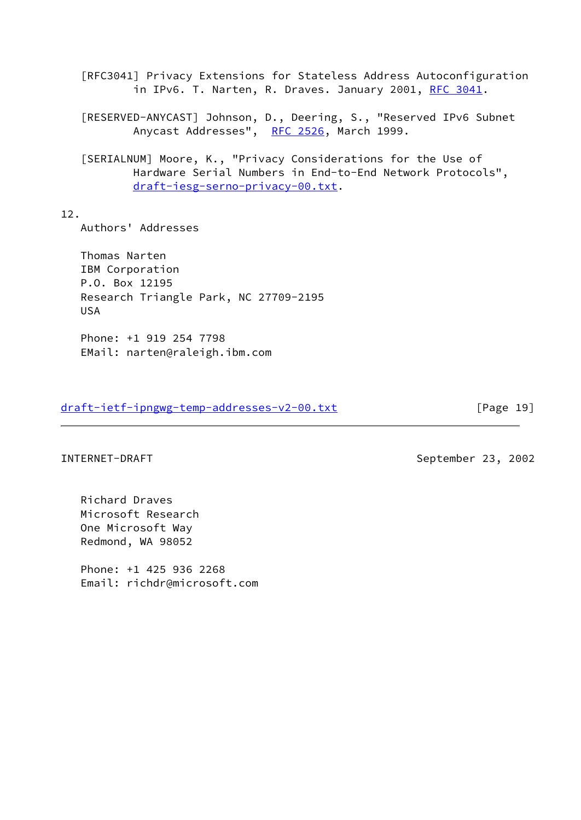[RFC3041] Privacy Extensions for Stateless Address Autoconfiguration in IPv6. T. Narten, R. Draves. January 2001, [RFC 3041](https://datatracker.ietf.org/doc/pdf/rfc3041).

 [RESERVED-ANYCAST] Johnson, D., Deering, S., "Reserved IPv6 Subnet Anycast Addresses", [RFC 2526](https://datatracker.ietf.org/doc/pdf/rfc2526), March 1999.

<span id="page-21-0"></span> [SERIALNUM] Moore, K., "Privacy Considerations for the Use of Hardware Serial Numbers in End-to-End Network Protocols", [draft-iesg-serno-privacy-00.txt](https://datatracker.ietf.org/doc/pdf/draft-iesg-serno-privacy-00.txt).

12.

Authors' Addresses

 Thomas Narten IBM Corporation P.O. Box 12195 Research Triangle Park, NC 27709-2195 USA

 Phone: +1 919 254 7798 EMail: narten@raleigh.ibm.com

[draft-ietf-ipngwg-temp-addresses-v2-00.txt](https://datatracker.ietf.org/doc/pdf/draft-ietf-ipngwg-temp-addresses-v2-00.txt) [Page 19]

 Richard Draves Microsoft Research One Microsoft Way Redmond, WA 98052

 Phone: +1 425 936 2268 Email: richdr@microsoft.com

INTERNET-DRAFT September 23, 2002